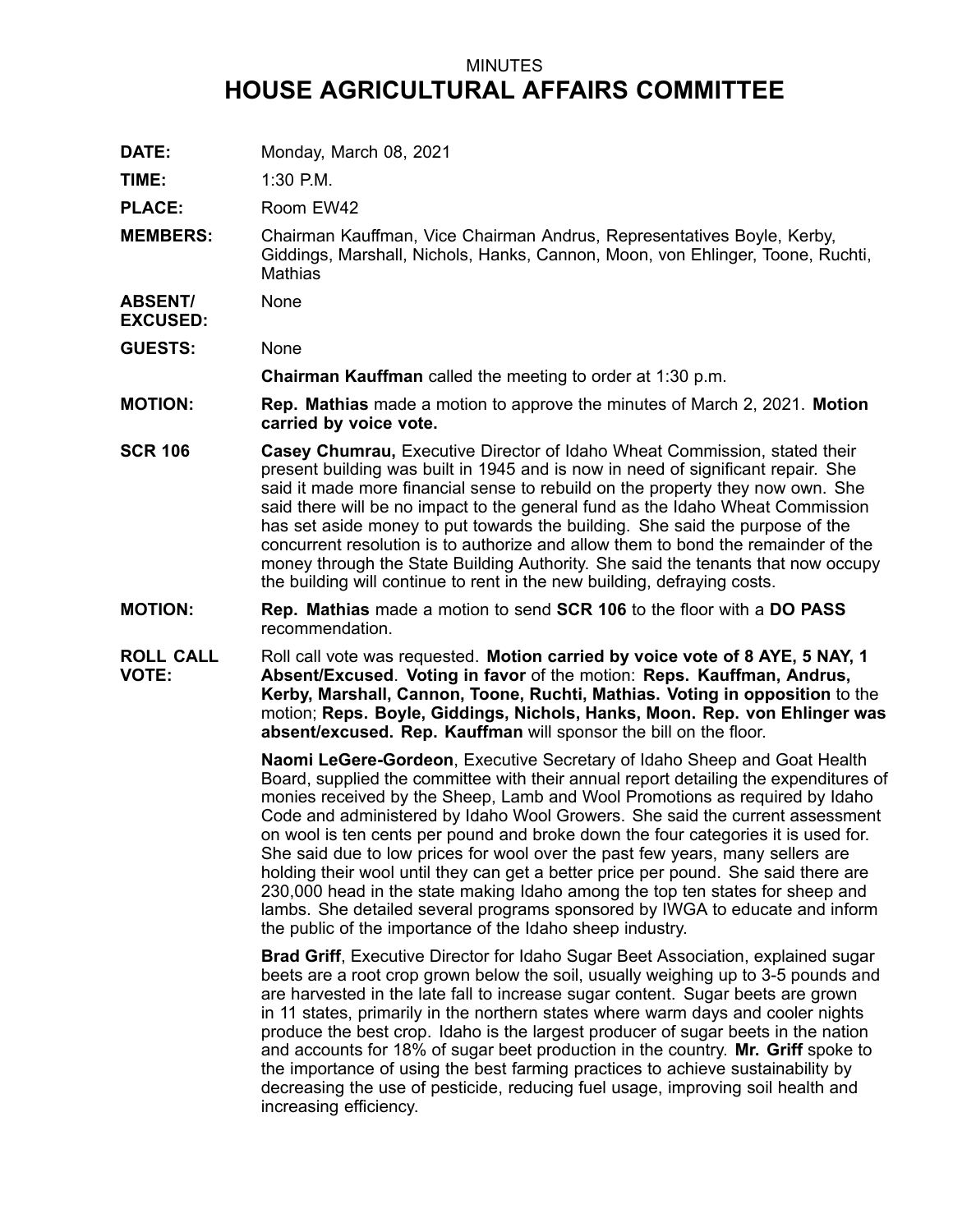## MINUTES **HOUSE AGRICULTURAL AFFAIRS COMMITTEE**

**DATE:** Monday, March 08, 2021

**TIME:** 1:30 P.M.

PLACE: Room EW42

**MEMBERS:** Chairman Kauffman, Vice Chairman Andrus, Representatives Boyle, Kerby, Giddings, Marshall, Nichols, Hanks, Cannon, Moon, von Ehlinger, Toone, Ruchti, **Mathias** 

**ABSENT/** None

**GUESTS:** None

**EXCUSED:**

**Chairman Kauffman** called the meeting to order at 1:30 p.m.

- **MOTION: Rep. Mathias** made <sup>a</sup> motion to approve the minutes of March 2, 2021. **Motion carried by voice vote.**
- **SCR 106 Casey Chumrau,** Executive Director of Idaho Wheat Commission, stated their present building was built in 1945 and is now in need of significant repair. She said it made more financial sense to rebuild on the property they now own. She said there will be no impact to the general fund as the Idaho Wheat Commission has set aside money to put towards the building. She said the purpose of the concurrent resolution is to authorize and allow them to bond the remainder of the money through the State Building Authority. She said the tenants that now occupy the building will continue to rent in the new building, defraying costs.
- **MOTION: Rep. Mathias** made <sup>a</sup> motion to send **SCR 106** to the floor with <sup>a</sup> **DO PASS** recommendation.
- **ROLL CALL VOTE:** Roll call vote was requested. **Motion carried by voice vote of 8 AYE, 5 NAY, 1 Absent/Excused**. **Voting in favor** of the motion: **Reps. Kauffman, Andrus, Kerby, Marshall, Cannon, Toone, Ruchti, Mathias. Voting in opposition** to the motion; **Reps. Boyle, Giddings, Nichols, Hanks, Moon. Rep. von Ehlinger was absent/excused. Rep. Kauffman** will sponsor the bill on the floor.

**Naomi LeGere-Gordeon**, Executive Secretary of Idaho Sheep and Goat Health Board, supplied the committee with their annual report detailing the expenditures of monies received by the Sheep, Lamb and Wool Promotions as required by Idaho Code and administered by Idaho Wool Growers. She said the current assessment on wool is ten cents per pound and broke down the four categories it is used for. She said due to low prices for wool over the past few years, many sellers are holding their wool until they can get <sup>a</sup> better price per pound. She said there are 230,000 head in the state making Idaho among the top ten states for sheep and lambs. She detailed several programs sponsored by IWGA to educate and inform the public of the importance of the Idaho sheep industry.

**Brad Griff**, Executive Director for Idaho Sugar Beet Association, explained sugar beets are <sup>a</sup> root crop grown below the soil, usually weighing up to 3-5 pounds and are harvested in the late fall to increase sugar content. Sugar beets are grown in 11 states, primarily in the northern states where warm days and cooler nights produce the best crop. Idaho is the largest producer of sugar beets in the nation and accounts for 18% of sugar beet production in the country. **Mr. Griff** spoke to the importance of using the best farming practices to achieve sustainability by decreasing the use of pesticide, reducing fuel usage, improving soil health and increasing efficiency.